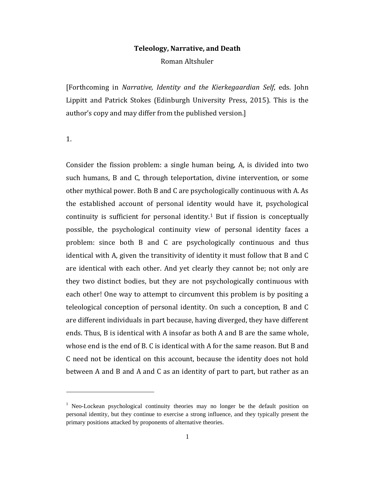## **Teleology, Narrative, and Death** Roman Altshuler

[Forthcoming in *Narrative, Identity and the Kierkegaardian Self*, eds. John Lippitt and Patrick Stokes (Edinburgh University Press, 2015). This is the author's copy and may differ from the published version.]

1.

 $\overline{a}$ 

Consider the fission problem: a single human being, A, is divided into two such humans, B and C, through teleportation, divine intervention, or some other mythical power. Both B and C are psychologically continuous with A. As the established account of personal identity would have it, psychological continuity is sufficient for personal identity.<sup>[1](#page-0-0)</sup> But if fission is conceptually possible, the psychological continuity view of personal identity faces a problem: since both B and C are psychologically continuous and thus identical with A, given the transitivity of identity it must follow that B and C are identical with each other. And yet clearly they cannot be; not only are they two distinct bodies, but they are not psychologically continuous with each other! One way to attempt to circumvent this problem is by positing a teleological conception of personal identity. On such a conception, B and C are different individuals in part because, having diverged, they have different ends. Thus, B is identical with A insofar as both A and B are the same whole, whose end is the end of B. C is identical with A for the same reason. But B and C need not be identical on this account, because the identity does not hold between A and B and A and C as an identity of part to part, but rather as an

<span id="page-0-0"></span><sup>&</sup>lt;sup>1</sup> Neo-Lockean psychological continuity theories may no longer be the default position on personal identity, but they continue to exercise a strong influence, and they typically present the primary positions attacked by proponents of alternative theories.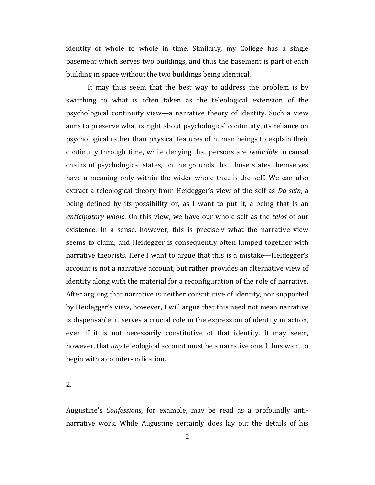identity of whole to whole in time. Similarly, my College has a single basement which serves two buildings, and thus the basement is part of each building in space without the two buildings being identical.

It may thus seem that the best way to address the problem is by switching to what is often taken as the teleological extension of the psychological continuity view—a narrative theory of identity. Such a view aims to preserve what is right about psychological continuity, its reliance on psychological rather than physical features of human beings to explain their continuity through time, while denying that persons are *reducible* to causal chains of psychological states, on the grounds that those states themselves have a meaning only within the wider whole that is the self. We can also extract a teleological theory from Heidegger's view of the self as *Da-sein*, a being defined by its possibility or, as I want to put it, a being that is an *anticipatory whole*. On this view, we have our whole self as the *telos* of our existence. In a sense, however, this is precisely what the narrative view seems to claim, and Heidegger is consequently often lumped together with narrative theorists. Here I want to argue that this is a mistake—Heidegger's account is not a narrative account, but rather provides an alternative view of identity along with the material for a reconfiguration of the role of narrative. After arguing that narrative is neither constitutive of identity, nor supported by Heidegger's view, however, I will argue that this need not mean narrative is dispensable; it serves a crucial role in the expression of identity in action, even if it is not necessarily constitutive of that identity. It may seem, however, that *any* teleological account must be a narrative one. I thus want to begin with a counter-indication.

2.

Augustine's *Confessions*, for example, may be read as a profoundly antinarrative work. While Augustine certainly does lay out the details of his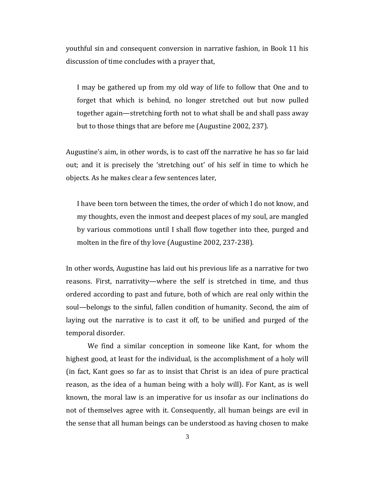youthful sin and consequent conversion in narrative fashion, in Book 11 his discussion of time concludes with a prayer that,

I may be gathered up from my old way of life to follow that One and to forget that which is behind, no longer stretched out but now pulled together again—stretching forth not to what shall be and shall pass away but to those things that are before me (Augustine 2002, 237).

Augustine's aim, in other words, is to cast off the narrative he has so far laid out; and it is precisely the 'stretching out' of his self in time to which he objects. As he makes clear a few sentences later,

I have been torn between the times, the order of which I do not know, and my thoughts, even the inmost and deepest places of my soul, are mangled by various commotions until I shall flow together into thee, purged and molten in the fire of thy love (Augustine 2002, 237-238).

In other words, Augustine has laid out his previous life as a narrative for two reasons. First, narrativity—where the self is stretched in time, and thus ordered according to past and future, both of which are real only within the soul—belongs to the sinful, fallen condition of humanity. Second, the aim of laying out the narrative is to cast it off, to be unified and purged of the temporal disorder.

We find a similar conception in someone like Kant, for whom the highest good, at least for the individual, is the accomplishment of a holy will (in fact, Kant goes so far as to insist that Christ is an idea of pure practical reason, as the idea of a human being with a holy will). For Kant, as is well known, the moral law is an imperative for us insofar as our inclinations do not of themselves agree with it. Consequently, all human beings are evil in the sense that all human beings can be understood as having chosen to make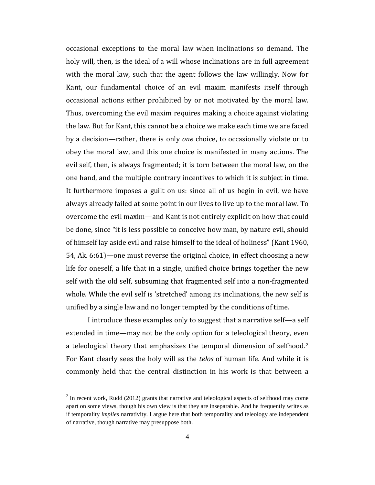occasional exceptions to the moral law when inclinations so demand. The holy will, then, is the ideal of a will whose inclinations are in full agreement with the moral law, such that the agent follows the law willingly. Now for Kant, our fundamental choice of an evil maxim manifests itself through occasional actions either prohibited by or not motivated by the moral law. Thus, overcoming the evil maxim requires making a choice against violating the law. But for Kant, this cannot be a choice we make each time we are faced by a decision—rather, there is only *one* choice, to occasionally violate or to obey the moral law, and this one choice is manifested in many actions. The evil self, then, is always fragmented; it is torn between the moral law, on the one hand, and the multiple contrary incentives to which it is subject in time. It furthermore imposes a guilt on us: since all of us begin in evil, we have always already failed at some point in our lives to live up to the moral law. To overcome the evil maxim—and Kant is not entirely explicit on how that could be done, since "it is less possible to conceive how man, by nature evil, should of himself lay aside evil and raise himself to the ideal of holiness" (Kant 1960, 54, Ak. 6:61)—one must reverse the original choice, in effect choosing a new life for oneself, a life that in a single, unified choice brings together the new self with the old self, subsuming that fragmented self into a non-fragmented whole. While the evil self is 'stretched' among its inclinations, the new self is unified by a single law and no longer tempted by the conditions of time.

I introduce these examples only to suggest that a narrative self—a self extended in time—may not be the only option for a teleological theory, even a teleological theory that emphasizes the temporal dimension of selfhood.<sup>[2](#page-3-0)</sup> For Kant clearly sees the holy will as the *telos* of human life. And while it is commonly held that the central distinction in his work is that between a

<span id="page-3-0"></span> $2$  In recent work, Rudd (2012) grants that narrative and teleological aspects of selfhood may come apart on some views, though his own view is that they are inseparable. And he frequently writes as if temporality *implies* narrativity. I argue here that both temporality and teleology are independent of narrative, though narrative may presuppose both.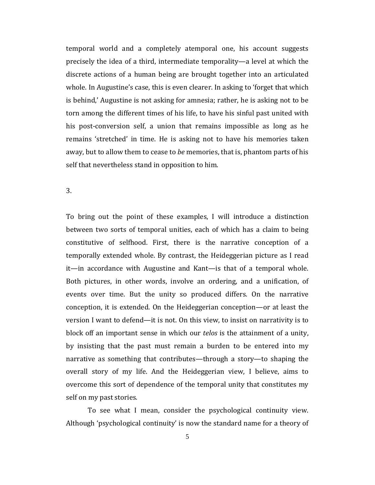temporal world and a completely atemporal one, his account suggests precisely the idea of a third, intermediate temporality—a level at which the discrete actions of a human being are brought together into an articulated whole. In Augustine's case, this is even clearer. In asking to 'forget that which is behind,' Augustine is not asking for amnesia; rather, he is asking not to be torn among the different times of his life, to have his sinful past united with his post-conversion self, a union that remains impossible as long as he remains 'stretched' in time. He is asking not to have his memories taken away, but to allow them to cease to *be* memories, that is, phantom parts of his self that nevertheless stand in opposition to him.

3.

To bring out the point of these examples, I will introduce a distinction between two sorts of temporal unities, each of which has a claim to being constitutive of selfhood. First, there is the narrative conception of a temporally extended whole. By contrast, the Heideggerian picture as I read it—in accordance with Augustine and Kant—is that of a temporal whole. Both pictures, in other words, involve an ordering, and a unification, of events over time. But the unity so produced differs. On the narrative conception, it is extended. On the Heideggerian conception—or at least the version I want to defend—it is not. On this view, to insist on narrativity is to block off an important sense in which our *telos* is the attainment of a unity, by insisting that the past must remain a burden to be entered into my narrative as something that contributes—through a story—to shaping the overall story of my life. And the Heideggerian view, I believe, aims to overcome this sort of dependence of the temporal unity that constitutes my self on my past stories.

To see what I mean, consider the psychological continuity view. Although 'psychological continuity' is now the standard name for a theory of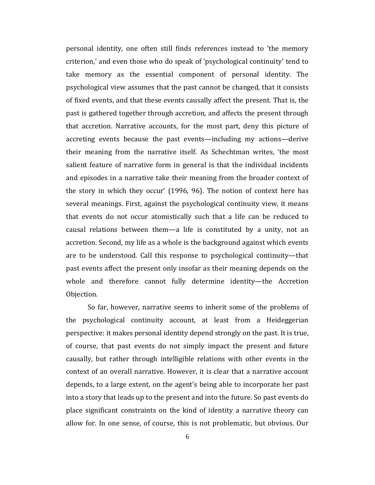personal identity, one often still finds references instead to 'the memory criterion,' and even those who do speak of 'psychological continuity' tend to take memory as the essential component of personal identity. The psychological view assumes that the past cannot be changed, that it consists of fixed events, and that these events causally affect the present. That is, the past is gathered together through accretion, and affects the present through that accretion. Narrative accounts, for the most part, deny this picture of accreting events because the past events—including my actions—derive their meaning from the narrative itself. As Schechtman writes, 'the most salient feature of narrative form in general is that the individual incidents and episodes in a narrative take their meaning from the broader context of the story in which they occur' (1996, 96). The notion of context here has several meanings. First, against the psychological continuity view, it means that events do not occur atomistically such that a life can be reduced to causal relations between them—a life is constituted by a unity, not an accretion. Second, my life as a whole is the background against which events are to be understood. Call this response to psychological continuity—that past events affect the present only insofar as their meaning depends on the whole and therefore cannot fully determine identity—the Accretion Objection.

So far, however, narrative seems to inherit some of the problems of the psychological continuity account, at least from a Heideggerian perspective: it makes personal identity depend strongly on the past. It is true, of course, that past events do not simply impact the present and future causally, but rather through intelligible relations with other events in the context of an overall narrative. However, it is clear that a narrative account depends, to a large extent, on the agent's being able to incorporate her past into a story that leads up to the present and into the future. So past events do place significant constraints on the kind of identity a narrative theory can allow for. In one sense, of course, this is not problematic, but obvious. Our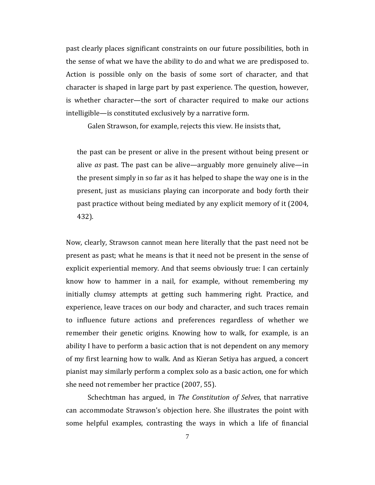past clearly places significant constraints on our future possibilities, both in the sense of what we have the ability to do and what we are predisposed to. Action is possible only on the basis of some sort of character, and that character is shaped in large part by past experience. The question, however, is whether character—the sort of character required to make our actions intelligible—is constituted exclusively by a narrative form.

Galen Strawson, for example, rejects this view. He insists that,

the past can be present or alive in the present without being present or alive *as* past. The past can be alive—arguably more genuinely alive—in the present simply in so far as it has helped to shape the way one is in the present, just as musicians playing can incorporate and body forth their past practice without being mediated by any explicit memory of it (2004, 432).

Now, clearly, Strawson cannot mean here literally that the past need not be present as past; what he means is that it need not be present in the sense of explicit experiential memory. And that seems obviously true: I can certainly know how to hammer in a nail, for example, without remembering my initially clumsy attempts at getting such hammering right. Practice, and experience, leave traces on our body and character, and such traces remain to influence future actions and preferences regardless of whether we remember their genetic origins. Knowing how to walk, for example, is an ability I have to perform a basic action that is not dependent on any memory of my first learning how to walk. And as Kieran Setiya has argued, a concert pianist may similarly perform a complex solo as a basic action, one for which she need not remember her practice (2007, 55).

Schechtman has argued, in *The Constitution of Selves*, that narrative can accommodate Strawson's objection here. She illustrates the point with some helpful examples, contrasting the ways in which a life of financial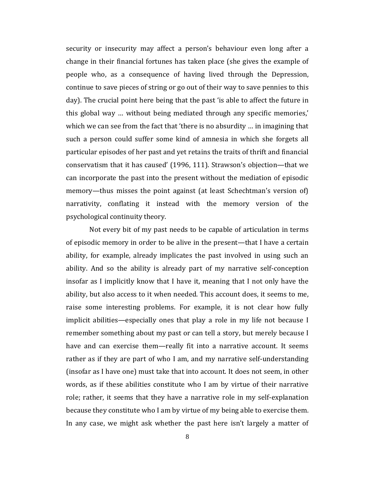security or insecurity may affect a person's behaviour even long after a change in their financial fortunes has taken place (she gives the example of people who, as a consequence of having lived through the Depression, continue to save pieces of string or go out of their way to save pennies to this day). The crucial point here being that the past 'is able to affect the future in this global way … without being mediated through any specific memories,' which we can see from the fact that 'there is no absurdity … in imagining that such a person could suffer some kind of amnesia in which she forgets all particular episodes of her past and yet retains the traits of thrift and financial conservatism that it has caused' (1996, 111). Strawson's objection—that we can incorporate the past into the present without the mediation of episodic memory—thus misses the point against (at least Schechtman's version of) narrativity, conflating it instead with the memory version of the psychological continuity theory.

Not every bit of my past needs to be capable of articulation in terms of episodic memory in order to be alive in the present—that I have a certain ability, for example, already implicates the past involved in using such an ability. And so the ability is already part of my narrative self-conception insofar as I implicitly know that I have it, meaning that I not only have the ability, but also access to it when needed. This account does, it seems to me, raise some interesting problems. For example, it is not clear how fully implicit abilities—especially ones that play a role in my life not because I remember something about my past or can tell a story, but merely because I have and can exercise them—really fit into a narrative account. It seems rather as if they are part of who I am, and my narrative self-understanding (insofar as I have one) must take that into account. It does not seem, in other words, as if these abilities constitute who I am by virtue of their narrative role; rather, it seems that they have a narrative role in my self-explanation because they constitute who I am by virtue of my being able to exercise them. In any case, we might ask whether the past here isn't largely a matter of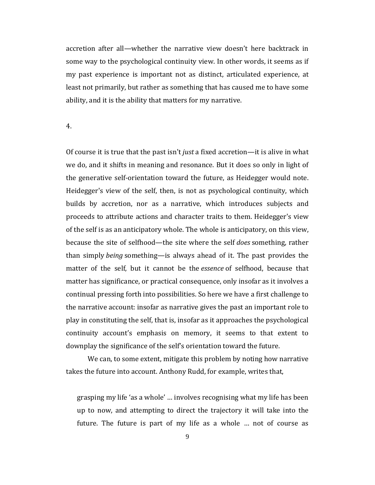accretion after all—whether the narrative view doesn't here backtrack in some way to the psychological continuity view. In other words, it seems as if my past experience is important not as distinct, articulated experience, at least not primarily, but rather as something that has caused me to have some ability, and it is the ability that matters for my narrative.

4.

Of course it is true that the past isn't *just* a fixed accretion—it is alive in what we do, and it shifts in meaning and resonance. But it does so only in light of the generative self-orientation toward the future, as Heidegger would note. Heidegger's view of the self, then, is not as psychological continuity, which builds by accretion, nor as a narrative, which introduces subjects and proceeds to attribute actions and character traits to them. Heidegger's view of the self is as an anticipatory whole. The whole is anticipatory, on this view, because the site of selfhood—the site where the self *does* something, rather than simply *being* something—is always ahead of it. The past provides the matter of the self, but it cannot be the *essence* of selfhood, because that matter has significance, or practical consequence, only insofar as it involves a continual pressing forth into possibilities. So here we have a first challenge to the narrative account: insofar as narrative gives the past an important role to play in constituting the self, that is, insofar as it approaches the psychological continuity account's emphasis on memory, it seems to that extent to downplay the significance of the self's orientation toward the future.

We can, to some extent, mitigate this problem by noting how narrative takes the future into account. Anthony Rudd, for example, writes that,

grasping my life 'as a whole' … involves recognising what my life has been up to now, and attempting to direct the trajectory it will take into the future. The future is part of my life as a whole … not of course as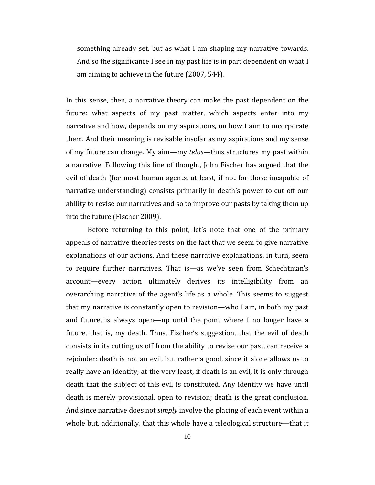something already set, but as what I am shaping my narrative towards. And so the significance I see in my past life is in part dependent on what I am aiming to achieve in the future (2007, 544).

In this sense, then, a narrative theory can make the past dependent on the future: what aspects of my past matter, which aspects enter into my narrative and how, depends on my aspirations, on how I aim to incorporate them. And their meaning is revisable insofar as my aspirations and my sense of my future can change. My aim—my *telos*—thus structures my past within a narrative. Following this line of thought, John Fischer has argued that the evil of death (for most human agents, at least, if not for those incapable of narrative understanding) consists primarily in death's power to cut off our ability to revise our narratives and so to improve our pasts by taking them up into the future (Fischer 2009).

Before returning to this point, let's note that one of the primary appeals of narrative theories rests on the fact that we seem to give narrative explanations of our actions. And these narrative explanations, in turn, seem to require further narratives. That is—as we've seen from Schechtman's account—every action ultimately derives its intelligibility from an overarching narrative of the agent's life as a whole. This seems to suggest that my narrative is constantly open to revision—who I am, in both my past and future, is always open—up until the point where I no longer have a future, that is, my death. Thus, Fischer's suggestion, that the evil of death consists in its cutting us off from the ability to revise our past, can receive a rejoinder: death is not an evil, but rather a good, since it alone allows us to really have an identity; at the very least, if death is an evil, it is only through death that the subject of this evil is constituted. Any identity we have until death is merely provisional, open to revision; death is the great conclusion. And since narrative does not *simply* involve the placing of each event within a whole but, additionally, that this whole have a teleological structure—that it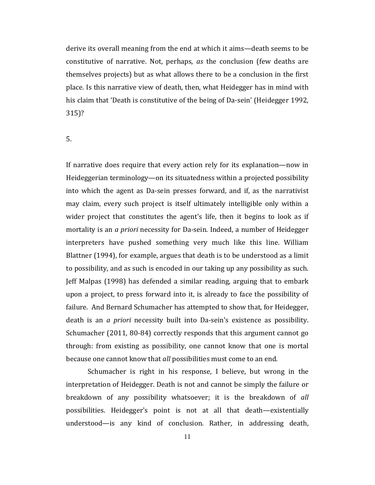derive its overall meaning from the end at which it aims—death seems to be constitutive of narrative. Not, perhaps, *as* the conclusion (few deaths are themselves projects) but as what allows there to be a conclusion in the first place. Is this narrative view of death, then, what Heidegger has in mind with his claim that 'Death is constitutive of the being of Da-sein' (Heidegger 1992, 315)?

5.

If narrative does require that every action rely for its explanation—now in Heideggerian terminology—on its situatedness within a projected possibility into which the agent as Da-sein presses forward, and if, as the narrativist may claim, every such project is itself ultimately intelligible only within a wider project that constitutes the agent's life, then it begins to look as if mortality is an *a priori* necessity for Da-sein. Indeed, a number of Heidegger interpreters have pushed something very much like this line. William Blattner (1994), for example, argues that death is to be understood as a limit to possibility, and as such is encoded in our taking up any possibility as such. Jeff Malpas (1998) has defended a similar reading, arguing that to embark upon a project, to press forward into it, is already to face the possibility of failure. And Bernard Schumacher has attempted to show that, for Heidegger, death is an *a priori* necessity built into Da-sein's existence as possibility. Schumacher (2011, 80-84) correctly responds that this argument cannot go through: from existing as possibility, one cannot know that one is mortal because one cannot know that *all* possibilities must come to an end.

Schumacher is right in his response, I believe, but wrong in the interpretation of Heidegger. Death is not and cannot be simply the failure or breakdown of any possibility whatsoever; it is the breakdown of *all* possibilities. Heidegger's point is not at all that death—existentially understood—is any kind of conclusion. Rather, in addressing death,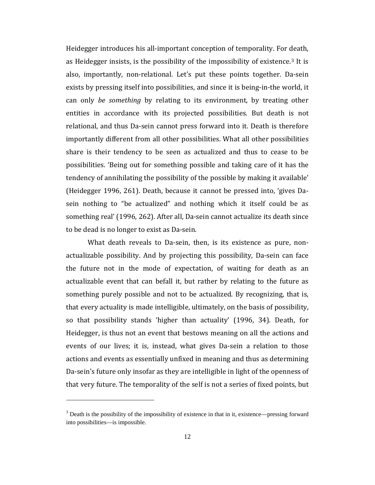Heidegger introduces his all-important conception of temporality. For death, as Heidegger insists, is the possibility of the impossibility of existence.<sup>[3](#page-11-0)</sup> It is also, importantly, non-relational. Let's put these points together. Da-sein exists by pressing itself into possibilities, and since it is being-in-the world, it can only *be something* by relating to its environment, by treating other entities in accordance with its projected possibilities. But death is not relational, and thus Da-sein cannot press forward into it. Death is therefore importantly different from all other possibilities. What all other possibilities share is their tendency to be seen as actualized and thus to cease to be possibilities. 'Being out for something possible and taking care of it has the tendency of annihilating the possibility of the possible by making it available' (Heidegger 1996, 261). Death, because it cannot be pressed into, 'gives Dasein nothing to "be actualized" and nothing which it itself could be as something real' (1996, 262). After all, Da-sein cannot actualize its death since to be dead is no longer to exist as Da-sein.

What death reveals to Da-sein, then, is its existence as pure, nonactualizable possibility. And by projecting this possibility, Da-sein can face the future not in the mode of expectation, of waiting for death as an actualizable event that can befall it, but rather by relating to the future as something purely possible and not to be actualized. By recognizing, that is, that every actuality is made intelligible, ultimately, on the basis of possibility, so that possibility stands 'higher than actuality' (1996, 34). Death, for Heidegger, is thus not an event that bestows meaning on all the actions and events of our lives; it is, instead, what gives Da-sein a relation to those actions and events as essentially unfixed in meaning and thus as determining Da-sein's future only insofar as they are intelligible in light of the openness of that very future. The temporality of the self is not a series of fixed points, but

<span id="page-11-0"></span> $3$  Death is the possibility of the impossibility of existence in that in it, existence—pressing forward into possibilities—is impossible.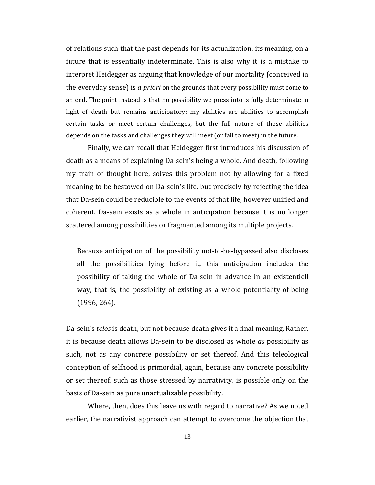of relations such that the past depends for its actualization, its meaning, on a future that is essentially indeterminate. This is also why it is a mistake to interpret Heidegger as arguing that knowledge of our mortality (conceived in the everyday sense) is *a priori* on the grounds that every possibility must come to an end. The point instead is that no possibility we press into is fully determinate in light of death but remains anticipatory: my abilities are abilities to accomplish certain tasks or meet certain challenges, but the full nature of those abilities depends on the tasks and challenges they will meet (or fail to meet) in the future.

Finally, we can recall that Heidegger first introduces his discussion of death as a means of explaining Da-sein's being a whole. And death, following my train of thought here, solves this problem not by allowing for a fixed meaning to be bestowed on Da-sein's life, but precisely by rejecting the idea that Da-sein could be reducible to the events of that life, however unified and coherent. Da-sein exists as a whole in anticipation because it is no longer scattered among possibilities or fragmented among its multiple projects.

Because anticipation of the possibility not-to-be-bypassed also discloses all the possibilities lying before it, this anticipation includes the possibility of taking the whole of Da-sein in advance in an existentiell way, that is, the possibility of existing as a whole potentiality-of-being (1996, 264).

Da-sein's *telos* is death, but not because death gives it a final meaning. Rather, it is because death allows Da-sein to be disclosed as whole *as* possibility as such, not as any concrete possibility or set thereof. And this teleological conception of selfhood is primordial, again, because any concrete possibility or set thereof, such as those stressed by narrativity, is possible only on the basis of Da-sein as pure unactualizable possibility.

Where, then, does this leave us with regard to narrative? As we noted earlier, the narrativist approach can attempt to overcome the objection that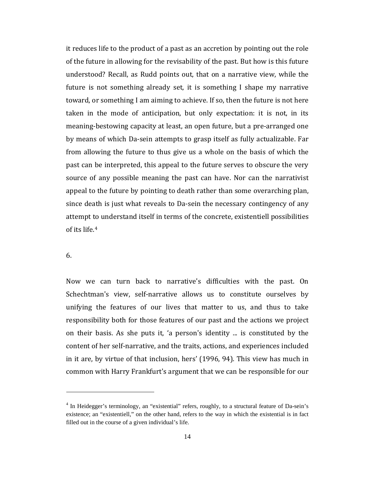it reduces life to the product of a past as an accretion by pointing out the role of the future in allowing for the revisability of the past. But how is this future understood? Recall, as Rudd points out, that on a narrative view, while the future is not something already set, it is something I shape my narrative toward, or something I am aiming to achieve. If so, then the future is not here taken in the mode of anticipation, but only expectation: it is not, in its meaning-bestowing capacity at least, an open future, but a pre-arranged one by means of which Da-sein attempts to grasp itself as fully actualizable. Far from allowing the future to thus give us a whole on the basis of which the past can be interpreted, this appeal to the future serves to obscure the very source of any possible meaning the past can have. Nor can the narrativist appeal to the future by pointing to death rather than some overarching plan, since death is just what reveals to Da-sein the necessary contingency of any attempt to understand itself in terms of the concrete, existentiell possibilities of its life.[4](#page-13-0)

## 6.

 $\overline{a}$ 

Now we can turn back to narrative's difficulties with the past. On Schechtman's view, self-narrative allows us to constitute ourselves by unifying the features of our lives that matter to us, and thus to take responsibility both for those features of our past and the actions we project on their basis. As she puts it, 'a person's identity ... is constituted by the content of her self-narrative, and the traits, actions, and experiences included in it are, by virtue of that inclusion, hers' (1996, 94). This view has much in common with Harry Frankfurt's argument that we can be responsible for our

<span id="page-13-0"></span><sup>4</sup> In Heidegger's terminology, an "existential" refers, roughly, to a structural feature of Da-sein's existence; an "existentiell," on the other hand, refers to the way in which the existential is in fact filled out in the course of a given individual's life.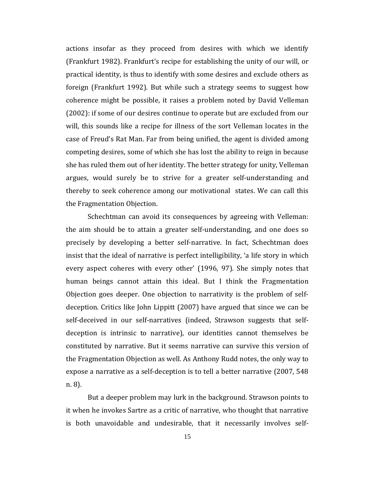actions insofar as they proceed from desires with which we identify (Frankfurt 1982). Frankfurt's recipe for establishing the unity of our will, or practical identity, is thus to identify with some desires and exclude others as foreign (Frankfurt 1992). But while such a strategy seems to suggest how coherence might be possible, it raises a problem noted by David Velleman (2002): if some of our desires continue to operate but are excluded from our will, this sounds like a recipe for illness of the sort Velleman locates in the case of Freud's Rat Man. Far from being unified, the agent is divided among competing desires, some of which she has lost the ability to reign in because she has ruled them out of her identity. The better strategy for unity, Velleman argues, would surely be to strive for a greater self-understanding and thereby to seek coherence among our motivational states. We can call this the Fragmentation Objection.

Schechtman can avoid its consequences by agreeing with Velleman: the aim should be to attain a greater self-understanding, and one does so precisely by developing a better self-narrative. In fact, Schechtman does insist that the ideal of narrative is perfect intelligibility, 'a life story in which every aspect coheres with every other' (1996, 97). She simply notes that human beings cannot attain this ideal. But I think the Fragmentation Objection goes deeper. One objection to narrativity is the problem of selfdeception. Critics like John Lippitt (2007) have argued that since we can be self-deceived in our self-narratives (indeed, Strawson suggests that selfdeception is intrinsic to narrative), our identities cannot themselves be constituted by narrative. But it seems narrative can survive this version of the Fragmentation Objection as well. As Anthony Rudd notes, the only way to expose a narrative as a self-deception is to tell a better narrative (2007, 548 n. 8).

But a deeper problem may lurk in the background. Strawson points to it when he invokes Sartre as a critic of narrative, who thought that narrative is both unavoidable and undesirable, that it necessarily involves self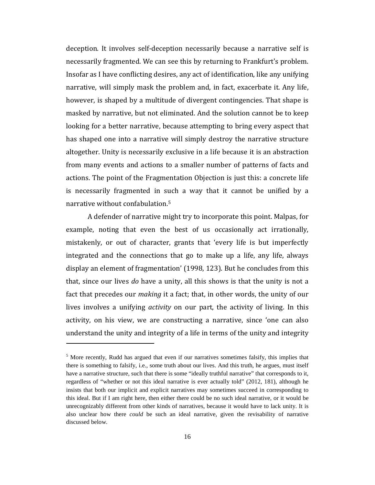deception. It involves self-deception necessarily because a narrative self is necessarily fragmented. We can see this by returning to Frankfurt's problem. Insofar as I have conflicting desires, any act of identification, like any unifying narrative, will simply mask the problem and, in fact, exacerbate it. Any life, however, is shaped by a multitude of divergent contingencies. That shape is masked by narrative, but not eliminated. And the solution cannot be to keep looking for a better narrative, because attempting to bring every aspect that has shaped one into a narrative will simply destroy the narrative structure altogether. Unity is necessarily exclusive in a life because it is an abstraction from many events and actions to a smaller number of patterns of facts and actions. The point of the Fragmentation Objection is just this: a concrete life is necessarily fragmented in such a way that it cannot be unified by a narrative without confabulation.[5](#page-15-0)

A defender of narrative might try to incorporate this point. Malpas, for example, noting that even the best of us occasionally act irrationally, mistakenly, or out of character, grants that 'every life is but imperfectly integrated and the connections that go to make up a life, any life, always display an element of fragmentation' (1998, 123). But he concludes from this that, since our lives *do* have a unity, all this shows is that the unity is not a fact that precedes our *making* it a fact; that, in other words, the unity of our lives involves a unifying *activity* on our part, the activity of living. In this activity, on his view, we are constructing a narrative, since 'one can also understand the unity and integrity of a life in terms of the unity and integrity

<span id="page-15-0"></span><sup>&</sup>lt;sup>5</sup> More recently, Rudd has argued that even if our narratives sometimes falsify, this implies that there is something to falsify, i.e., some truth about our lives. And this truth, he argues, must itself have a narrative structure, such that there is some "ideally truthful narrative" that corresponds to it, regardless of "whether or not this ideal narrative is ever actually told" (2012, 181), although he insists that both our implicit and explicit narratives may sometimes succeed in corresponding to this ideal. But if I am right here, then either there could be no such ideal narrative, or it would be unrecognizably different from other kinds of narratives, because it would have to lack unity. It is also unclear how there *could* be such an ideal narrative, given the revisability of narrative discussed below.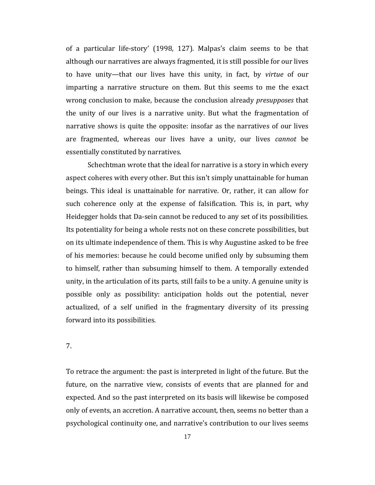of a particular life-story' (1998, 127). Malpas's claim seems to be that although our narratives are always fragmented, it is still possible for our lives to have unity—that our lives have this unity, in fact, by *virtue* of our imparting a narrative structure on them. But this seems to me the exact wrong conclusion to make, because the conclusion already *presupposes* that the unity of our lives is a narrative unity. But what the fragmentation of narrative shows is quite the opposite: insofar as the narratives of our lives are fragmented, whereas our lives have a unity, our lives *cannot* be essentially constituted by narratives.

Schechtman wrote that the ideal for narrative is a story in which every aspect coheres with every other. But this isn't simply unattainable for human beings. This ideal is unattainable for narrative. Or, rather, it can allow for such coherence only at the expense of falsification. This is, in part, why Heidegger holds that Da-sein cannot be reduced to any set of its possibilities. Its potentiality for being a whole rests not on these concrete possibilities, but on its ultimate independence of them. This is why Augustine asked to be free of his memories: because he could become unified only by subsuming them to himself, rather than subsuming himself to them. A temporally extended unity, in the articulation of its parts, still fails to be a unity. A genuine unity is possible only as possibility: anticipation holds out the potential, never actualized, of a self unified in the fragmentary diversity of its pressing forward into its possibilities.

7.

To retrace the argument: the past is interpreted in light of the future. But the future, on the narrative view, consists of events that are planned for and expected. And so the past interpreted on its basis will likewise be composed only of events, an accretion. A narrative account, then, seems no better than a psychological continuity one, and narrative's contribution to our lives seems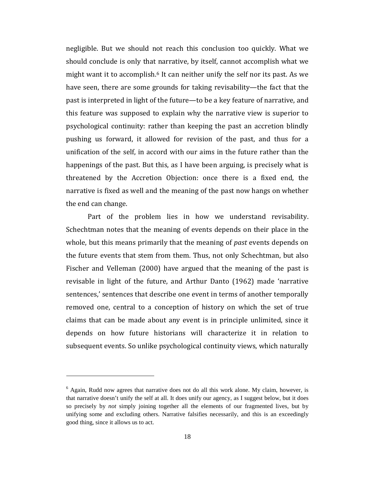negligible. But we should not reach this conclusion too quickly. What we should conclude is only that narrative, by itself, cannot accomplish what we might want it to accomplish.<sup>[6](#page-17-0)</sup> It can neither unify the self nor its past. As we have seen, there are some grounds for taking revisability—the fact that the past is interpreted in light of the future—to be a key feature of narrative, and this feature was supposed to explain why the narrative view is superior to psychological continuity: rather than keeping the past an accretion blindly pushing us forward, it allowed for revision of the past, and thus for a unification of the self, in accord with our aims in the future rather than the happenings of the past. But this, as I have been arguing, is precisely what is threatened by the Accretion Objection: once there is a fixed end, the narrative is fixed as well and the meaning of the past now hangs on whether the end can change.

Part of the problem lies in how we understand revisability. Schechtman notes that the meaning of events depends on their place in the whole, but this means primarily that the meaning of *past* events depends on the future events that stem from them. Thus, not only Schechtman, but also Fischer and Velleman (2000) have argued that the meaning of the past is revisable in light of the future, and Arthur Danto (1962) made 'narrative sentences,' sentences that describe one event in terms of another temporally removed one, central to a conception of history on which the set of true claims that can be made about any event is in principle unlimited, since it depends on how future historians will characterize it in relation to subsequent events. So unlike psychological continuity views, which naturally

<span id="page-17-0"></span> $<sup>6</sup>$  Again, Rudd now agrees that narrative does not do all this work alone. My claim, however, is</sup> that narrative doesn't unify the self at all. It does unify our agency, as I suggest below, but it does so precisely by *not* simply joining together all the elements of our fragmented lives, but by unifying some and excluding others. Narrative falsifies necessarily, and this is an exceedingly good thing, since it allows us to act.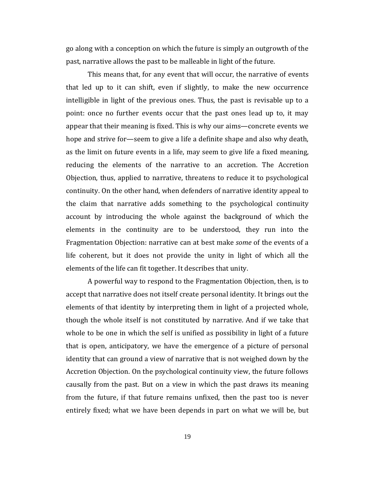go along with a conception on which the future is simply an outgrowth of the past, narrative allows the past to be malleable in light of the future.

This means that, for any event that will occur, the narrative of events that led up to it can shift, even if slightly, to make the new occurrence intelligible in light of the previous ones. Thus, the past is revisable up to a point: once no further events occur that the past ones lead up to, it may appear that their meaning is fixed. This is why our aims—concrete events we hope and strive for—seem to give a life a definite shape and also why death, as the limit on future events in a life, may seem to give life a fixed meaning, reducing the elements of the narrative to an accretion. The Accretion Objection, thus, applied to narrative, threatens to reduce it to psychological continuity. On the other hand, when defenders of narrative identity appeal to the claim that narrative adds something to the psychological continuity account by introducing the whole against the background of which the elements in the continuity are to be understood, they run into the Fragmentation Objection: narrative can at best make *some* of the events of a life coherent, but it does not provide the unity in light of which all the elements of the life can fit together. It describes that unity.

A powerful way to respond to the Fragmentation Objection, then, is to accept that narrative does not itself create personal identity. It brings out the elements of that identity by interpreting them in light of a projected whole, though the whole itself is not constituted by narrative. And if we take that whole to be one in which the self is unified as possibility in light of a future that is open, anticipatory, we have the emergence of a picture of personal identity that can ground a view of narrative that is not weighed down by the Accretion Objection. On the psychological continuity view, the future follows causally from the past. But on a view in which the past draws its meaning from the future, if that future remains unfixed, then the past too is never entirely fixed; what we have been depends in part on what we will be, but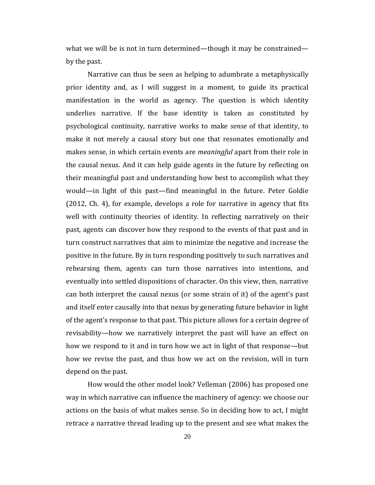what we will be is not in turn determined—though it may be constrained by the past.

Narrative can thus be seen as helping to adumbrate a metaphysically prior identity and, as I will suggest in a moment, to guide its practical manifestation in the world as agency. The question is which identity underlies narrative. If the base identity is taken as constituted by psychological continuity, narrative works to make *sense* of that identity, to make it not merely a causal story but one that resonates emotionally and makes sense, in which certain events are *meaningful* apart from their role in the causal nexus. And it can help guide agents in the future by reflecting on their meaningful past and understanding how best to accomplish what they would—in light of this past—find meaningful in the future. Peter Goldie (2012, Ch. 4), for example, develops a role for narrative in agency that fits well with continuity theories of identity. In reflecting narratively on their past, agents can discover how they respond to the events of that past and in turn construct narratives that aim to minimize the negative and increase the positive in the future. By in turn responding positively to such narratives and rehearsing them, agents can turn those narratives into intentions, and eventually into settled dispositions of character. On this view, then, narrative can both interpret the causal nexus (or some strain of it) of the agent's past and itself enter causally into that nexus by generating future behavior in light of the agent's response to that past. This picture allows for a certain degree of revisability—how we narratively interpret the past will have an effect on how we respond to it and in turn how we act in light of that response—but how we revise the past, and thus how we act on the revision, will in turn depend on the past.

How would the other model look? Velleman (2006) has proposed one way in which narrative can influence the machinery of agency: we choose our actions on the basis of what makes sense. So in deciding how to act, I might retrace a narrative thread leading up to the present and see what makes the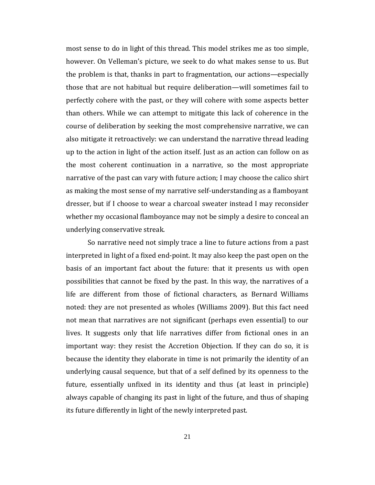most sense to do in light of this thread. This model strikes me as too simple, however. On Velleman's picture, we seek to do what makes sense to us. But the problem is that, thanks in part to fragmentation, our actions—especially those that are not habitual but require deliberation—will sometimes fail to perfectly cohere with the past, or they will cohere with some aspects better than others. While we can attempt to mitigate this lack of coherence in the course of deliberation by seeking the most comprehensive narrative, we can also mitigate it retroactively: we can understand the narrative thread leading up to the action in light of the action itself. Just as an action can follow on as the most coherent continuation in a narrative, so the most appropriate narrative of the past can vary with future action; I may choose the calico shirt as making the most sense of my narrative self-understanding as a flamboyant dresser, but if I choose to wear a charcoal sweater instead I may reconsider whether my occasional flamboyance may not be simply a desire to conceal an underlying conservative streak.

So narrative need not simply trace a line to future actions from a past interpreted in light of a fixed end-point. It may also keep the past open on the basis of an important fact about the future: that it presents us with open possibilities that cannot be fixed by the past. In this way, the narratives of a life are different from those of fictional characters, as Bernard Williams noted: they are not presented as wholes (Williams 2009). But this fact need not mean that narratives are not significant (perhaps even essential) to our lives. It suggests only that life narratives differ from fictional ones in an important way: they resist the Accretion Objection. If they can do so, it is because the identity they elaborate in time is not primarily the identity of an underlying causal sequence, but that of a self defined by its openness to the future, essentially unfixed in its identity and thus (at least in principle) always capable of changing its past in light of the future, and thus of shaping its future differently in light of the newly interpreted past.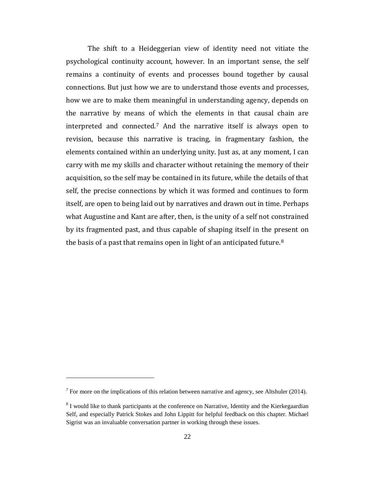The shift to a Heideggerian view of identity need not vitiate the psychological continuity account, however. In an important sense, the self remains a continuity of events and processes bound together by causal connections. But just how we are to understand those events and processes, how we are to make them meaningful in understanding agency, depends on the narrative by means of [w](#page-21-0)hich the elements in that causal chain are interpreted and connected. <sup>7</sup> And the narrative itself is always open to revision, because this narrative is tracing, in fragmentary fashion, the elements contained within an underlying unity. Just as, at any moment, I can carry with me my skills and character without retaining the memory of their acquisition, so the self may be contained in its future, while the details of that self, the precise connections by which it was formed and continues to form itself, are open to being laid out by narratives and drawn out in time. Perhaps what Augustine and Kant are after, then, is the unity of a self not constrained by its fragmented past, and thus capable of shaping itself in the present on the basis of a past that remains open in light of an anticipated future.<sup>[8](#page-21-0)</sup>

<span id="page-21-0"></span> $<sup>7</sup>$  For more on the implications of this relation between narrative and agency, see Altshuler (2014).</sup>

<sup>&</sup>lt;sup>8</sup> I would like to thank participants at the conference on Narrative, Identity and the Kierkegaardian Self, and especially Patrick Stokes and John Lippitt for helpful feedback on this chapter. Michael Sigrist was an invaluable conversation partner in working through these issues.